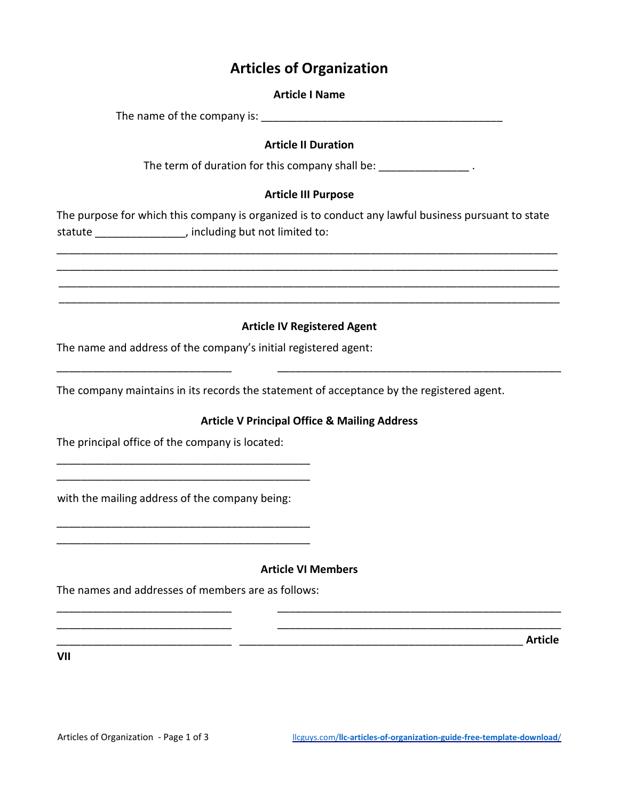# **Articles of Organization**

#### **Article I Name**

The name of the company is:  $\blacksquare$ 

# **Article II Duration**

The term of duration for this company shall be: \_\_\_\_\_\_\_\_\_\_\_\_\_\_\_\_\_\_\_.

# **Article III Purpose**

The purpose for which this company is organized is to conduct any lawful business pursuant to state statute \_\_\_\_\_\_\_\_\_\_\_\_\_\_\_, including but not limited to:

\_\_\_\_\_\_\_\_\_\_\_\_\_\_\_\_\_\_\_\_\_\_\_\_\_\_\_\_\_\_\_\_\_\_\_\_\_\_\_\_\_\_\_\_\_\_\_\_\_\_\_\_\_\_\_\_\_\_\_\_\_\_\_\_\_\_\_\_\_\_\_\_\_\_\_\_\_\_\_\_\_\_\_ \_\_\_\_\_\_\_\_\_\_\_\_\_\_\_\_\_\_\_\_\_\_\_\_\_\_\_\_\_\_\_\_\_\_\_\_\_\_\_\_\_\_\_\_\_\_\_\_\_\_\_\_\_\_\_\_\_\_\_\_\_\_\_\_\_\_\_\_\_\_\_\_\_\_\_\_\_\_\_\_\_\_\_ \_\_\_\_\_\_\_\_\_\_\_\_\_\_\_\_\_\_\_\_\_\_\_\_\_\_\_\_\_\_\_\_\_\_\_\_\_\_\_\_\_\_\_\_\_\_\_\_\_\_\_\_\_\_\_\_\_\_\_\_\_\_\_\_\_\_\_\_\_\_\_\_\_\_\_\_\_\_\_\_\_\_\_ \_\_\_\_\_\_\_\_\_\_\_\_\_\_\_\_\_\_\_\_\_\_\_\_\_\_\_\_\_\_\_\_\_\_\_\_\_\_\_\_\_\_\_\_\_\_\_\_\_\_\_\_\_\_\_\_\_\_\_\_\_\_\_\_\_\_\_\_\_\_\_\_\_\_\_\_\_\_\_\_\_\_\_

# **Article IV Registered Agent**

\_\_\_\_\_\_\_\_\_\_\_\_\_\_\_\_\_\_\_\_\_\_\_\_\_\_\_\_\_ \_\_\_\_\_\_\_\_\_\_\_\_\_\_\_\_\_\_\_\_\_\_\_\_\_\_\_\_\_\_\_\_\_\_\_\_\_\_\_\_\_\_\_\_\_\_\_

The name and address of the company's initial registered agent:

The company maintains in its records the statement of acceptance by the registered agent.

# **Article V Principal Office & Mailing Address**

The principal office of the company is located:

with the mailing address of the company being:

\_\_\_\_\_\_\_\_\_\_\_\_\_\_\_\_\_\_\_\_\_\_\_\_\_\_\_\_\_\_\_\_\_\_\_\_\_\_\_\_\_\_ \_\_\_\_\_\_\_\_\_\_\_\_\_\_\_\_\_\_\_\_\_\_\_\_\_\_\_\_\_\_\_\_\_\_\_\_\_\_\_\_\_\_

\_\_\_\_\_\_\_\_\_\_\_\_\_\_\_\_\_\_\_\_\_\_\_\_\_\_\_\_\_\_\_\_\_\_\_\_\_\_\_\_\_\_ \_\_\_\_\_\_\_\_\_\_\_\_\_\_\_\_\_\_\_\_\_\_\_\_\_\_\_\_\_\_\_\_\_\_\_\_\_\_\_\_\_\_

#### **Article VI Members**

\_\_\_\_\_\_\_\_\_\_\_\_\_\_\_\_\_\_\_\_\_\_\_\_\_\_\_\_\_ \_\_\_\_\_\_\_\_\_\_\_\_\_\_\_\_\_\_\_\_\_\_\_\_\_\_\_\_\_\_\_\_\_\_\_\_\_\_\_\_\_\_\_\_\_\_\_ \_\_\_\_\_\_\_\_\_\_\_\_\_\_\_\_\_\_\_\_\_\_\_\_\_\_\_\_\_ \_\_\_\_\_\_\_\_\_\_\_\_\_\_\_\_\_\_\_\_\_\_\_\_\_\_\_\_\_\_\_\_\_\_\_\_\_\_\_\_\_\_\_\_\_\_\_

The names and addresses of members are as follows:

\_\_\_\_\_\_\_\_\_\_\_\_\_\_\_\_\_\_\_\_\_\_\_\_\_\_\_\_\_ \_\_\_\_\_\_\_\_\_\_\_\_\_\_\_\_\_\_\_\_\_\_\_\_\_\_\_\_\_\_\_\_\_\_\_\_\_\_\_\_\_\_\_\_\_\_\_ **Article** 

**VII**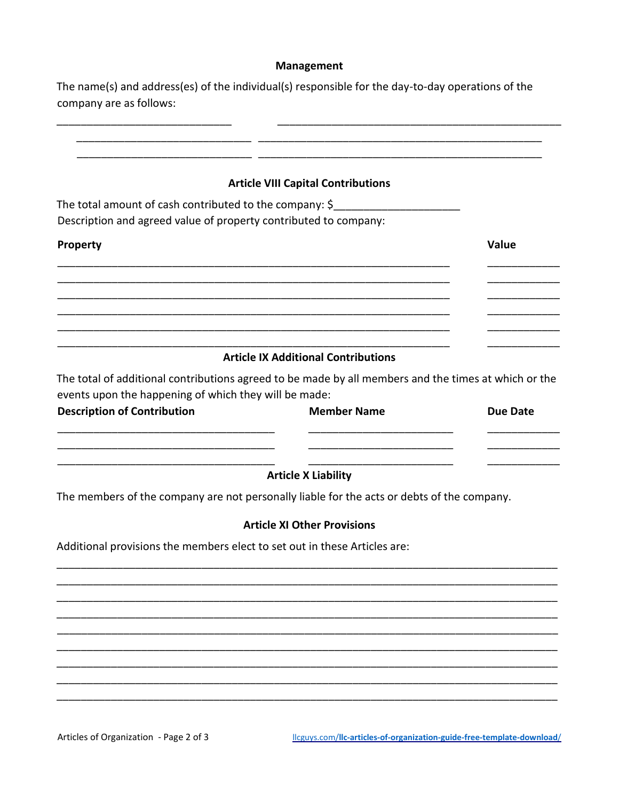#### Management

The name(s) and address(es) of the individual(s) responsible for the day-to-day operations of the company are as follows:

| <b>Article VIII Capital Contributions</b> |  |
|-------------------------------------------|--|
|-------------------------------------------|--|

<u> Alexandro de la contrada de la contrada de la contrada de la contrada de la contrada de la contrada de la con</u>

The total amount of cash contributed to the company: \$\_\_\_\_\_\_\_\_\_\_\_\_\_\_\_\_\_\_\_\_\_\_\_\_\_\_ Description and agreed value of property contributed to company:

# Value Property

#### **Article IX Additional Contributions**

The total of additional contributions agreed to be made by all members and the times at which or the events upon the happening of which they will be made:

| <b>Description of Contribution</b> | <b>Member Name</b> | Due Date |
|------------------------------------|--------------------|----------|
|                                    |                    |          |

#### **Article X Liability**

The members of the company are not personally liable for the acts or debts of the company.

#### **Article XI Other Provisions**

Additional provisions the members elect to set out in these Articles are:

Articles of Organization - Page 2 of 3